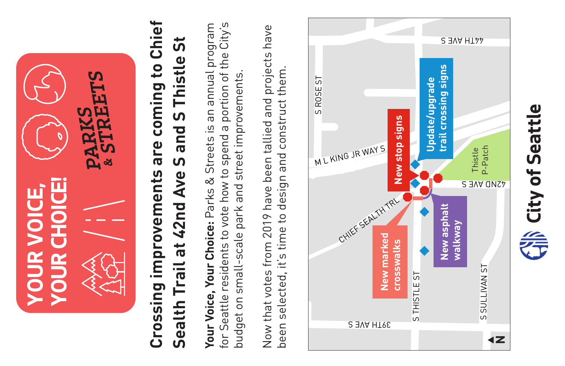

# **Crossing improvements are coming to Chief**  Crossing improvements are coming to Chief Sealth Trail at 42nd Ave S and S Thistle St **Sealth Trail at 42nd Ave S and S Thistle St**

**Your Voice, Your Choice:** Parks & Streets is an annual program for Seattle residents to vote how to spend a portion of the City's Your Voice, Your Choice: Parks & Streets is an annual program for Seattle residents to vote how to spend a portion of the City's budget on small-scale park and street improvements. budget on small-scale park and street improvements.

Now that votes from 2019 have been tallied and projects have Now that votes from 2019 have been tallied and projects have been selected, it's time to design and construct them. been selected, it's time to design and construct them.

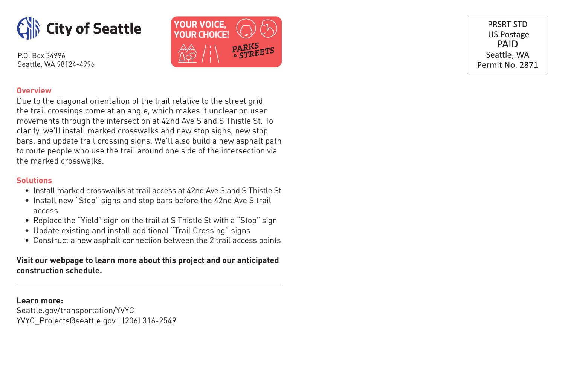



PRSRT STD **US Postage** PAID Seattle, WA Permit No. 2871

## **Overview**

Due to the diagonal orientation of the trail relative to the street grid, the trail crossings come at an angle, which makes it unclear on user movements through the intersection at 42nd Ave S and S Thistle St. To clarify, we'll install marked crosswalks and new stop signs, new stop bars, and update trail crossing signs. We'll also build a new asphalt path to route people who use the trail around one side of the intersection via the marked crosswalks.

### **Solutions**

- Install marked crosswalks at trail access at 42nd Ave S and S Thistle St
- Install new "Stop" signs and stop bars before the 42nd Ave S trail access
- Replace the "Yield" sign on the trail at S Thistle St with a "Stop" sign
- Update existing and install additional "Trail Crossing" signs
- Construct a new asphalt connection between the 2 trail access points

**Visit our webpage to learn more about this project and our anticipated construction schedule.**

### **Learn more:**

Seattle.gov/transportation/YVYC YVYC\_Projects@seattle.gov | (206) 316-2549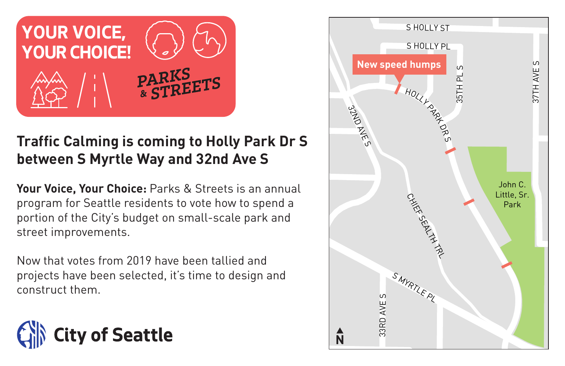

# **Traffic Calming is coming to Holly Park Dr S between S Myrtle Way and 32nd Ave S**

**Your Voice, Your Choice:** Parks & Streets is an annual program for Seattle residents to vote how to spend a portion of the City's budget on small-scale park and street improvements.

Now that votes from 2019 have been tallied and projects have been selected, it's time to design and construct them.



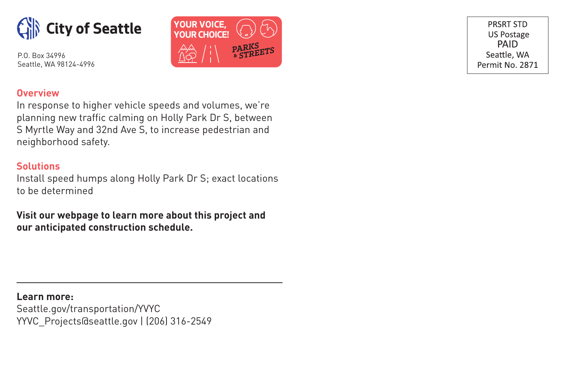



PRSRT STD **US Postage** PAID Seattle, WA Permit No. 2871

# **Overview**

In response to higher vehicle speeds and volumes, we're planning new traffic calming on Holly Park Dr S, between S Myrtle Way and 32nd Ave S, to increase pedestrian and neighborhood safety.

# **Solutions**

Install speed humps along Holly Park Dr S; exact locations to be determined

**Visit our webpage to learn more about this project and our anticipated construction schedule.**

**Learn more:** Seattle.gov/transportation/YVYC YYVC\_Projects@seattle.gov | (206) 316-2549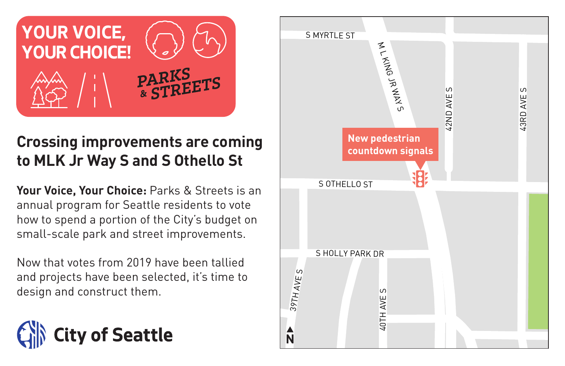

# **Crossing improvements are coming to MLK Jr Way S and S Othello St**

**Your Voice, Your Choice:** Parks & Streets is an annual program for Seattle residents to vote how to spend a portion of the City's budget on small-scale park and street improvements.

Now that votes from 2019 have been tallied and projects have been selected, it's time to design and construct them.



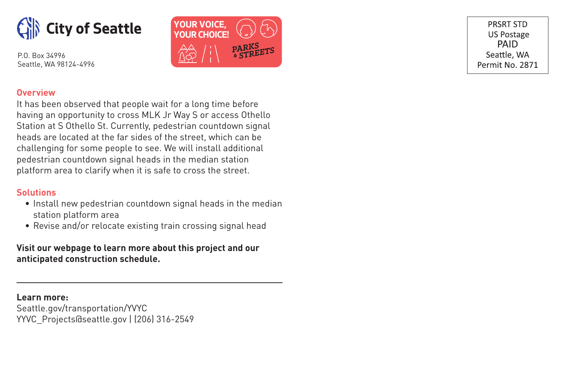



PRSRT STD **US Postage PAID** Seattle, WA Permit No. 2871

# **Overview**

It has been observed that people wait for a long time before having an opportunity to cross MLK Jr Way S or access Othello Station at S Othello St. Currently, pedestrian countdown signal heads are located at the far sides of the street, which can be challenging for some people to see. We will install additional pedestrian countdown signal heads in the median station platform area to clarify when it is safe to cross the street.

# **Solutions**

- Install new pedestrian countdown signal heads in the median station platform area
- Revise and/or relocate existing train crossing signal head

**Visit our webpage to learn more about this project and our anticipated construction schedule.**

**Learn more:** Seattle.gov/transportation/YVYC YYVC\_Projects@seattle.gov | (206) 316-2549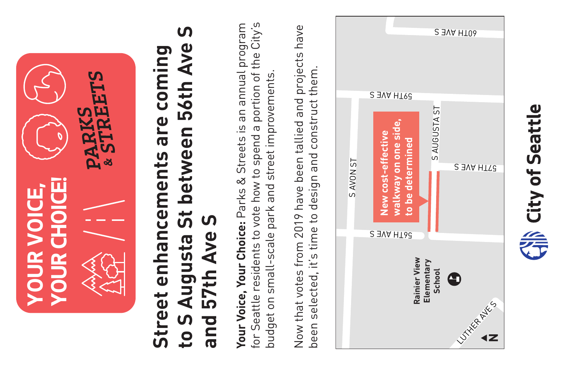

# **to S Augusta St between 56th Ave S**  S **Street enhancements are coming**  Augusta St between 56th Ave Street enhancements are coming **and 57th Ave S** 57th Ave S  $\frac{10}{5}$ **bue**

**Your Voice, Your Choice:** Parks & Streets is an annual program for Seattle residents to vote how to spend a portion of the City's Your Voice, Your Choice: Parks & Streets is an annual program for Seattle residents to vote how to spend a portion of the City's budget on small-scale park and street improvements. budget on small-scale park and street improvements.

Now that votes from 2019 have been tallied and projects have Now that votes from 2019 have been tallied and projects have been selected, it's time to design and construct them. been selected, it's time to design and construct them.



City of Seattle